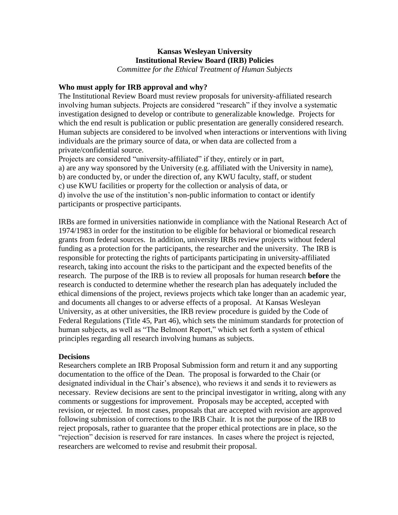### **Kansas Wesleyan University Institutional Review Board (IRB) Policies** *Committee for the Ethical Treatment of Human Subjects*

### **Who must apply for IRB approval and why?**

The Institutional Review Board must review proposals for university-affiliated research involving human subjects. Projects are considered "research" if they involve a systematic investigation designed to develop or contribute to generalizable knowledge. Projects for which the end result is publication or public presentation are generally considered research. Human subjects are considered to be involved when interactions or interventions with living individuals are the primary source of data, or when data are collected from a private/confidential source.

Projects are considered "university-affiliated" if they, entirely or in part, a) are any way sponsored by the University (e.g. affiliated with the University in name), b) are conducted by, or under the direction of, any KWU faculty, staff, or student c) use KWU facilities or property for the collection or analysis of data, or d) involve the use of the institution's non-public information to contact or identify participants or prospective participants.

IRBs are formed in universities nationwide in compliance with the National Research Act of 1974/1983 in order for the institution to be eligible for behavioral or biomedical research grants from federal sources. In addition, university IRBs review projects without federal funding as a protection for the participants, the researcher and the university. The IRB is responsible for protecting the rights of participants participating in university-affiliated research, taking into account the risks to the participant and the expected benefits of the research. The purpose of the IRB is to review all proposals for human research **before** the research is conducted to determine whether the research plan has adequately included the ethical dimensions of the project, reviews projects which take longer than an academic year, and documents all changes to or adverse effects of a proposal. At Kansas Wesleyan University, as at other universities, the IRB review procedure is guided by the Code of Federal Regulations (Title 45, Part 46), which sets the minimum standards for protection of human subjects, as well as "The Belmont Report," which set forth a system of ethical principles regarding all research involving humans as subjects.

#### **Decisions**

Researchers complete an IRB Proposal Submission form and return it and any supporting documentation to the office of the Dean. The proposal is forwarded to the Chair (or designated individual in the Chair's absence), who reviews it and sends it to reviewers as necessary. Review decisions are sent to the principal investigator in writing, along with any comments or suggestions for improvement. Proposals may be accepted, accepted with revision, or rejected. In most cases, proposals that are accepted with revision are approved following submission of corrections to the IRB Chair. It is not the purpose of the IRB to reject proposals, rather to guarantee that the proper ethical protections are in place, so the "rejection" decision is reserved for rare instances. In cases where the project is rejected, researchers are welcomed to revise and resubmit their proposal.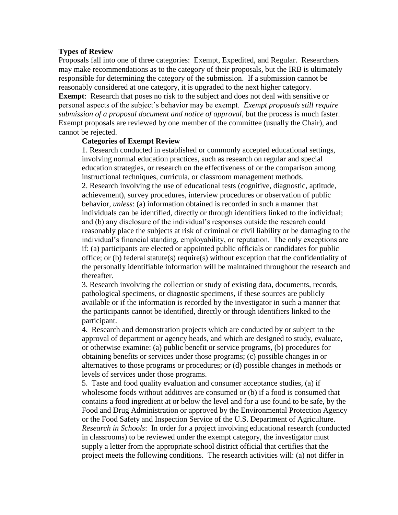#### **Types of Review**

Proposals fall into one of three categories: Exempt, Expedited, and Regular. Researchers may make recommendations as to the category of their proposals, but the IRB is ultimately responsible for determining the category of the submission. If a submission cannot be reasonably considered at one category, it is upgraded to the next higher category.

**Exempt**: Research that poses no risk to the subject and does not deal with sensitive or personal aspects of the subject's behavior may be exempt. *Exempt proposals still require submission of a proposal document and notice of approval*, but the process is much faster. Exempt proposals are reviewed by one member of the committee (usually the Chair), and cannot be rejected.

#### **Categories of Exempt Review**

1. Research conducted in established or commonly accepted educational settings, involving normal education practices, such as research on regular and special education strategies, or research on the effectiveness of or the comparison among instructional techniques, curricula, or classroom management methods. 2. Research involving the use of educational tests (cognitive, diagnostic, aptitude, achievement), survey procedures, interview procedures or observation of public behavior, *unless*: (a) information obtained is recorded in such a manner that individuals can be identified, directly or through identifiers linked to the individual; and (b) any disclosure of the individual's responses outside the research could reasonably place the subjects at risk of criminal or civil liability or be damaging to the individual's financial standing, employability, or reputation. The only exceptions are if: (a) participants are elected or appointed public officials or candidates for public office; or (b) federal statute(s) require(s) without exception that the confidentiality of the personally identifiable information will be maintained throughout the research and thereafter.

3. Research involving the collection or study of existing data, documents, records, pathological specimens, or diagnostic specimens, if these sources are publicly available or if the information is recorded by the investigator in such a manner that the participants cannot be identified, directly or through identifiers linked to the participant.

4. Research and demonstration projects which are conducted by or subject to the approval of department or agency heads, and which are designed to study, evaluate, or otherwise examine: (a) public benefit or service programs, (b) procedures for obtaining benefits or services under those programs; (c) possible changes in or alternatives to those programs or procedures; or (d) possible changes in methods or levels of services under those programs.

5. Taste and food quality evaluation and consumer acceptance studies, (a) if wholesome foods without additives are consumed or (b) if a food is consumed that contains a food ingredient at or below the level and for a use found to be safe, by the Food and Drug Administration or approved by the Environmental Protection Agency or the Food Safety and Inspection Service of the U.S. Department of Agriculture. *Research in Schools*: In order for a project involving educational research (conducted in classrooms) to be reviewed under the exempt category, the investigator must supply a letter from the appropriate school district official that certifies that the project meets the following conditions. The research activities will: (a) not differ in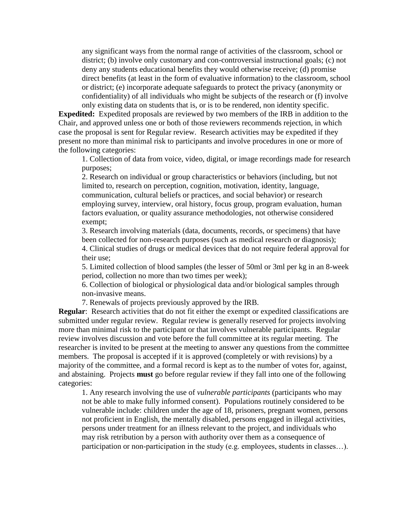any significant ways from the normal range of activities of the classroom, school or district; (b) involve only customary and con-controversial instructional goals; (c) not deny any students educational benefits they would otherwise receive; (d) promise direct benefits (at least in the form of evaluative information) to the classroom, school or district; (e) incorporate adequate safeguards to protect the privacy (anonymity or confidentiality) of all individuals who might be subjects of the research or (f) involve only existing data on students that is, or is to be rendered, non identity specific.

**Expedited:** Expedited proposals are reviewed by two members of the IRB in addition to the Chair, and approved unless one or both of those reviewers recommends rejection, in which case the proposal is sent for Regular review. Research activities may be expedited if they present no more than minimal risk to participants and involve procedures in one or more of the following categories:

1. Collection of data from voice, video, digital, or image recordings made for research purposes;

2. Research on individual or group characteristics or behaviors (including, but not limited to, research on perception, cognition, motivation, identity, language, communication, cultural beliefs or practices, and social behavior) or research employing survey, interview, oral history, focus group, program evaluation, human factors evaluation, or quality assurance methodologies, not otherwise considered exempt;

3. Research involving materials (data, documents, records, or specimens) that have been collected for non-research purposes (such as medical research or diagnosis); 4. Clinical studies of drugs or medical devices that do not require federal approval for their use;

5. Limited collection of blood samples (the lesser of 50ml or 3ml per kg in an 8-week period, collection no more than two times per week);

6. Collection of biological or physiological data and/or biological samples through non-invasive means.

7. Renewals of projects previously approved by the IRB.

**Regular:** Research activities that do not fit either the exempt or expedited classifications are submitted under regular review. Regular review is generally reserved for projects involving more than minimal risk to the participant or that involves vulnerable participants. Regular review involves discussion and vote before the full committee at its regular meeting. The researcher is invited to be present at the meeting to answer any questions from the committee members. The proposal is accepted if it is approved (completely or with revisions) by a majority of the committee, and a formal record is kept as to the number of votes for, against, and abstaining. Projects **must** go before regular review if they fall into one of the following categories:

1. Any research involving the use of *vulnerable participants* (participants who may not be able to make fully informed consent). Populations routinely considered to be vulnerable include: children under the age of 18, prisoners, pregnant women, persons not proficient in English, the mentally disabled, persons engaged in illegal activities, persons under treatment for an illness relevant to the project, and individuals who may risk retribution by a person with authority over them as a consequence of participation or non-participation in the study (e.g. employees, students in classes…).